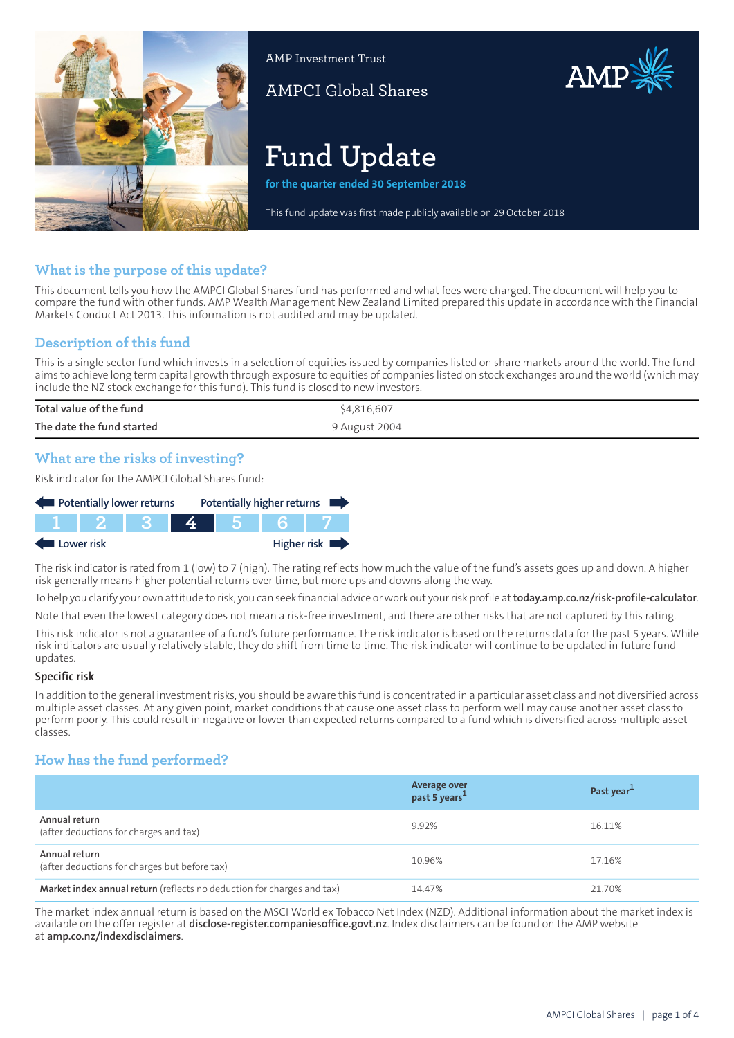

AMP Investment Trust

AMPCI Global Shares

# **Fund Update**

**for the quarter ended 30 September 2018**

This fund update was first made publicly available on 29 October 2018

AMP

## **What is the purpose of this update?**

This document tells you how the AMPCI Global Shares fund has performed and what fees were charged. The document will help you to compare the fund with other funds. AMP Wealth Management New Zealand Limited prepared this update in accordance with the Financial Markets Conduct Act 2013. This information is not audited and may be updated.

## **Description of this fund**

This is a single sector fund which invests in a selection of equities issued by companies listed on share markets around the world. The fund aims to achieve long term capital growth through exposure to equities of companies listed on stock exchanges around the world (which may include the NZ stock exchange for this fund). This fund is closed to new investors.

| Total value of the fund   | \$4,816,607   |
|---------------------------|---------------|
| The date the fund started | 9 August 2004 |

## **What are the risks of investing?**

Risk indicator for the AMPCI Global Shares fund:



The risk indicator is rated from 1 (low) to 7 (high). The rating reflects how much the value of the fund's assets goes up and down. A higher risk generally means higher potential returns over time, but more ups and downs along the way.

To help you clarify your own attitude to risk, you can seek financial advice orwork out yourrisk profile at**[today.amp.co.nz/risk-profile-calculator](http://today.amp.co.nz/risk-profile-calculator)**.

Note that even the lowest category does not mean a risk-free investment, and there are other risks that are not captured by this rating.

This risk indicator is not a guarantee of a fund's future performance. The risk indicator is based on the returns data for the past 5 years. While risk indicators are usually relatively stable, they do shift from time to time. The risk indicator will continue to be updated in future fund updates.

#### **Specific risk**

In addition to the general investmentrisks, you should be aware this fund is concentrated in a particular asset class and not diversified across multiple asset classes. At any given point, market conditions that cause one asset class to perform well may cause another asset class to perform poorly. This could result in negative or lower than expected returns compared to a fund which is diversified across multiple asset classes.

## **How has the fund performed?**

|                                                                        | Average over<br>past 5 years <sup>1</sup> | Past year <sup>1</sup> |
|------------------------------------------------------------------------|-------------------------------------------|------------------------|
| Annual return<br>(after deductions for charges and tax)                | 9.92%                                     | 16.11%                 |
| Annual return<br>(after deductions for charges but before tax)         | 10.96%                                    | 17.16%                 |
| Market index annual return (reflects no deduction for charges and tax) | 14.47%                                    | 21.70%                 |

The market index annual return is based on the MSCI World ex Tobacco Net Index (NZD). Additional information about the market index is available on the offer register at **[disclose-register.companiesoffice.govt.nz](https://disclose-register.companiesoffice.govt.nz/)**. Index disclaimers can be found on the AMP website at **[amp.co.nz/indexdisclaimers](http://amp.co.nz/indexdisclaimers)**.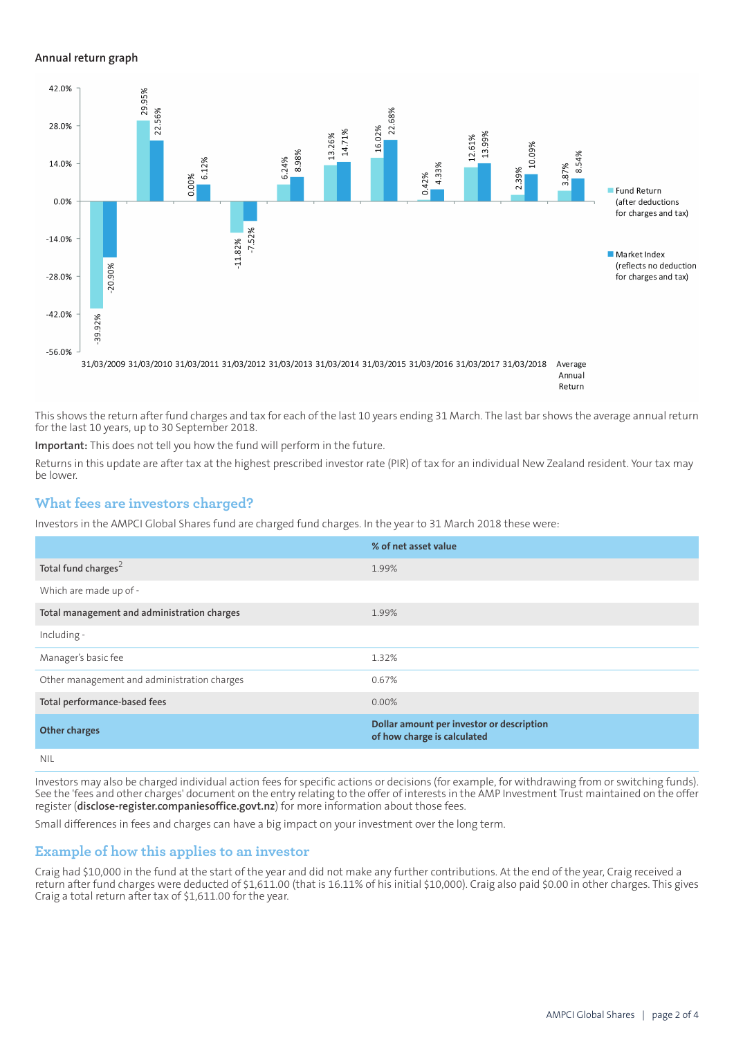#### **Annual return graph**



This shows the return after fund charges and tax for each of the last 10 years ending 31 March. The last bar shows the average annual return for the last 10 years, up to 30 September 2018.

**Important:** This does not tell you how the fund will perform in the future.

Returns in this update are after tax at the highest prescribed investor rate (PIR) of tax for an individual New Zealand resident. Your tax may be lower.

#### **What fees are investors charged?**

Investors in the AMPCI Global Shares fund are charged fund charges. In the year to 31 March 2018 these were:

|                                             | % of net asset value                                                     |
|---------------------------------------------|--------------------------------------------------------------------------|
| Total fund charges <sup>2</sup>             | 1.99%                                                                    |
| Which are made up of -                      |                                                                          |
| Total management and administration charges | 1.99%                                                                    |
| Including -                                 |                                                                          |
| Manager's basic fee                         | 1.32%                                                                    |
| Other management and administration charges | 0.67%                                                                    |
| Total performance-based fees                | $0.00\%$                                                                 |
| Other charges                               | Dollar amount per investor or description<br>of how charge is calculated |
| NII                                         |                                                                          |

Investors may also be charged individual action fees for specific actions or decisions (for example, for withdrawing from or switching funds). See the 'fees and other charges' document on the entry relating to the offer of interests in the AMP Investment Trust maintained on the offer register (**[disclose-register.companiesoffice.govt.nz](https://disclose-register.companiesoffice.govt.nz/)**) for more information about those fees.

Small differences in fees and charges can have a big impact on your investment over the long term.

#### **Example of how this applies to an investor**

Craig had \$10,000 in the fund at the start of the year and did not make any further contributions. At the end of the year, Craig received a return after fund charges were deducted of \$1,611.00 (that is 16.11% of his initial \$10,000). Craig also paid \$0.00 in other charges. This gives Craig a total return after tax of \$1,611.00 for the year.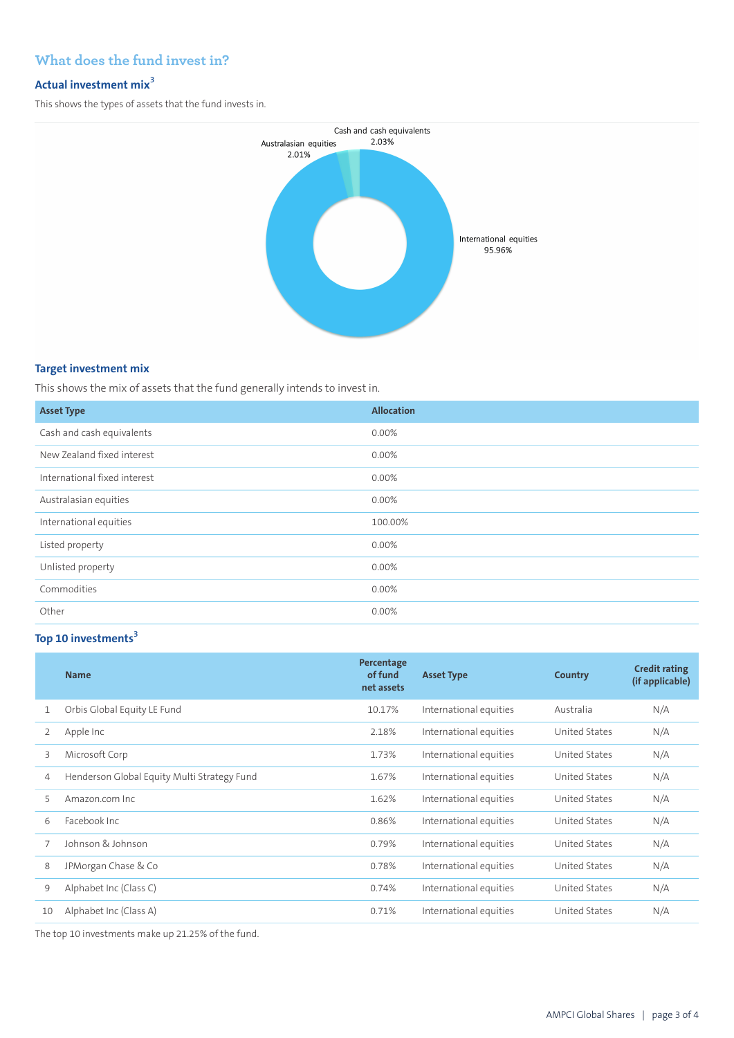## **What does the fund invest in?**

## **Actual investment mix<sup>3</sup>**

This shows the types of assets that the fund invests in.



#### **Target investment mix**

This shows the mix of assets that the fund generally intends to invest in.

| <b>Asset Type</b>            | <b>Allocation</b> |
|------------------------------|-------------------|
| Cash and cash equivalents    | 0.00%             |
| New Zealand fixed interest   | 0.00%             |
| International fixed interest | 0.00%             |
| Australasian equities        | 0.00%             |
| International equities       | 100.00%           |
| Listed property              | 0.00%             |
| Unlisted property            | 0.00%             |
| Commodities                  | 0.00%             |
| Other                        | 0.00%             |

## **Top 10 investments<sup>3</sup>**

|    | <b>Name</b>                                 | Percentage<br>of fund<br>net assets | <b>Asset Type</b>      | Country              | <b>Credit rating</b><br>(if applicable) |
|----|---------------------------------------------|-------------------------------------|------------------------|----------------------|-----------------------------------------|
| 1  | Orbis Global Equity LE Fund                 | 10.17%                              | International equities | Australia            | N/A                                     |
| 2  | Apple Inc                                   | 2.18%                               | International equities | United States        | N/A                                     |
| 3  | Microsoft Corp                              | 1.73%                               | International equities | United States        | N/A                                     |
| 4  | Henderson Global Equity Multi Strategy Fund | 1.67%                               | International equities | United States        | N/A                                     |
| 5  | Amazon.com Inc.                             | 1.62%                               | International equities | United States        | N/A                                     |
| 6  | Facebook Inc.                               | 0.86%                               | International equities | <b>United States</b> | N/A                                     |
|    | Johnson & Johnson                           | 0.79%                               | International equities | United States        | N/A                                     |
| 8  | JPMorgan Chase & Co                         | 0.78%                               | International equities | United States        | N/A                                     |
| 9  | Alphabet Inc (Class C)                      | 0.74%                               | International equities | United States        | N/A                                     |
| 10 | Alphabet Inc (Class A)                      | 0.71%                               | International equities | United States        | N/A                                     |

The top 10 investments make up 21.25% of the fund.